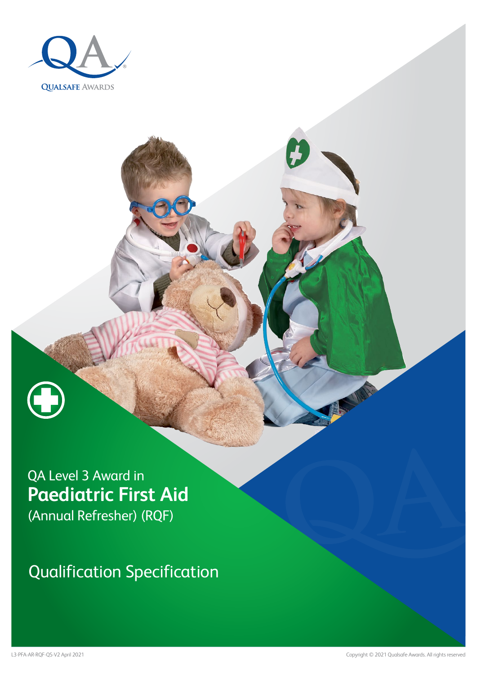



Qualification Specification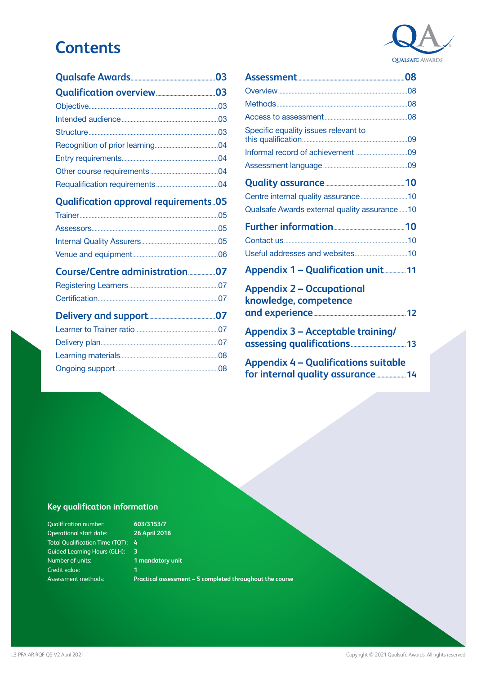# **Contents**

## **[Qualification approval requirements..05](#page-4-0)**

[Ongoing support....................................................................08](#page-7-0)

| Specific equality issues relevant to                                             |  |
|----------------------------------------------------------------------------------|--|
|                                                                                  |  |
|                                                                                  |  |
|                                                                                  |  |
|                                                                                  |  |
| Qualsafe Awards external quality assurance10                                     |  |
|                                                                                  |  |
|                                                                                  |  |
|                                                                                  |  |
| <b>Appendix 1 - Qualification unit 11</b>                                        |  |
| <b>Appendix 2 - Occupational</b><br>knowledge, competence                        |  |
|                                                                                  |  |
| <b>Appendix 3 - Acceptable training/</b>                                         |  |
| <b>Appendix 4 - Qualifications suitable</b><br>for internal quality assurance 14 |  |

### **Key qualification information**

**603/3153/7 26 April 2018**

- 
- **1 mandatory unit 1**
- **Practical assessment 5 completed throughout the course**

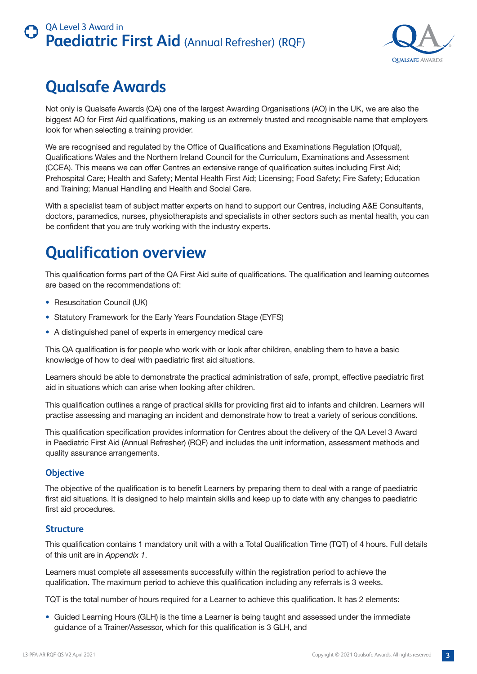

# <span id="page-2-0"></span>**Qualsafe Awards**

Not only is Qualsafe Awards (QA) one of the largest Awarding Organisations (AO) in the UK, we are also the biggest AO for First Aid qualifications, making us an extremely trusted and recognisable name that employers look for when selecting a training provider.

We are recognised and regulated by the Office of Qualifications and Examinations Regulation (Ofqual), Qualifications Wales and the Northern Ireland Council for the Curriculum, Examinations and Assessment (CCEA). This means we can offer Centres an extensive range of qualification suites including First Aid; Prehospital Care; Health and Safety; Mental Health First Aid; Licensing; Food Safety; Fire Safety; Education and Training; Manual Handling and Health and Social Care.

With a specialist team of subject matter experts on hand to support our Centres, including A&E Consultants, doctors, paramedics, nurses, physiotherapists and specialists in other sectors such as mental health, you can be confident that you are truly working with the industry experts.

# **Qualification overview**

This qualification forms part of the QA First Aid suite of qualifications. The qualification and learning outcomes are based on the recommendations of:

- Resuscitation Council (UK)
- Statutory Framework for the Early Years Foundation Stage (EYFS)
- A distinguished panel of experts in emergency medical care

This QA qualification is for people who work with or look after children, enabling them to have a basic knowledge of how to deal with paediatric first aid situations.

Learners should be able to demonstrate the practical administration of safe, prompt, effective paediatric first aid in situations which can arise when looking after children.

This qualification outlines a range of practical skills for providing first aid to infants and children. Learners will practise assessing and managing an incident and demonstrate how to treat a variety of serious conditions.

This qualification specification provides information for Centres about the delivery of the QA Level 3 Award in Paediatric First Aid (Annual Refresher) (RQF) and includes the unit information, assessment methods and quality assurance arrangements.

### **Objective**

The objective of the qualification is to benefit Learners by preparing them to deal with a range of paediatric first aid situations. It is designed to help maintain skills and keep up to date with any changes to paediatric first aid procedures.

### **Structure**

This qualification contains 1 mandatory unit with a with a Total Qualification Time (TQT) of 4 hours. Full details of this unit are in *Appendix 1*.

Learners must complete all assessments successfully within the registration period to achieve the qualification. The maximum period to achieve this qualification including any referrals is 3 weeks.

TQT is the total number of hours required for a Learner to achieve this qualification. It has 2 elements:

• Guided Learning Hours (GLH) is the time a Learner is being taught and assessed under the immediate guidance of a Trainer/Assessor, which for this qualification is 3 GLH, and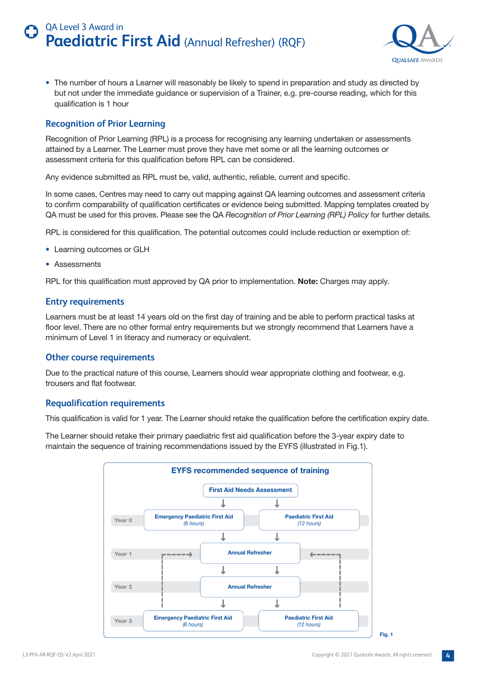

<span id="page-3-0"></span>• The number of hours a Learner will reasonably be likely to spend in preparation and study as directed by but not under the immediate guidance or supervision of a Trainer, e.g. pre-course reading, which for this qualification is 1 hour

### **Recognition of Prior Learning**

Recognition of Prior Learning (RPL) is a process for recognising any learning undertaken or assessments attained by a Learner. The Learner must prove they have met some or all the learning outcomes or assessment criteria for this qualification before RPL can be considered.

Any evidence submitted as RPL must be, valid, authentic, reliable, current and specific.

In some cases, Centres may need to carry out mapping against QA learning outcomes and assessment criteria to confirm comparability of qualification certificates or evidence being submitted. Mapping templates created by QA must be used for this proves. Please see the QA *Recognition of Prior Learning (RPL) Policy* for further details.

RPL is considered for this qualification. The potential outcomes could include reduction or exemption of:

- Learning outcomes or GLH
- Assessments

RPL for this qualification must approved by QA prior to implementation. **Note:** Charges may apply.

### **Entry requirements**

Learners must be at least 14 years old on the first day of training and be able to perform practical tasks at floor level. There are no other formal entry requirements but we strongly recommend that Learners have a minimum of Level 1 in literacy and numeracy or equivalent.

### **Other course requirements**

Due to the practical nature of this course, Learners should wear appropriate clothing and footwear, e.g. trousers and flat footwear.

### **Requalification requirements**

This qualification is valid for 1 year. The Learner should retake the qualification before the certification expiry date.

The Learner should retake their primary paediatric first aid qualification before the 3-year expiry date to maintain the sequence of training recommendations issued by the EYFS (illustrated in Fig.1).

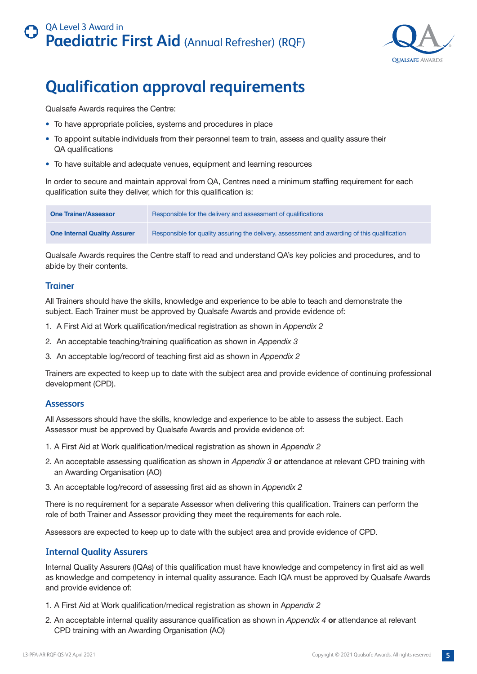

# <span id="page-4-0"></span>**Qualification approval requirements**

Qualsafe Awards requires the Centre:

- To have appropriate policies, systems and procedures in place
- To appoint suitable individuals from their personnel team to train, assess and quality assure their QA qualifications
- To have suitable and adequate venues, equipment and learning resources

In order to secure and maintain approval from QA, Centres need a minimum staffing requirement for each qualification suite they deliver, which for this qualification is:

| <b>One Trainer/Assessor</b>         | Responsible for the delivery and assessment of qualifications                                |
|-------------------------------------|----------------------------------------------------------------------------------------------|
| <b>One Internal Quality Assurer</b> | Responsible for quality assuring the delivery, assessment and awarding of this qualification |

Qualsafe Awards requires the Centre staff to read and understand QA's key policies and procedures, and to abide by their contents.

### **Trainer**

All Trainers should have the skills, knowledge and experience to be able to teach and demonstrate the subject. Each Trainer must be approved by Qualsafe Awards and provide evidence of:

- 1. A First Aid at Work qualification/medical registration as shown in *Appendix 2*
- 2. An acceptable teaching/training qualification as shown in *Appendix 3*
- 3. An acceptable log/record of teaching first aid as shown in *Appendix 2*

Trainers are expected to keep up to date with the subject area and provide evidence of continuing professional development (CPD).

### **Assessors**

All Assessors should have the skills, knowledge and experience to be able to assess the subject. Each Assessor must be approved by Qualsafe Awards and provide evidence of:

- 1. A First Aid at Work qualification/medical registration as shown in *Appendix 2*
- 2. An acceptable assessing qualification as shown in *Appendix 3* **or** attendance at relevant CPD training with an Awarding Organisation (AO)
- 3. An acceptable log/record of assessing first aid as shown in *Appendix 2*

There is no requirement for a separate Assessor when delivering this qualification. Trainers can perform the role of both Trainer and Assessor providing they meet the requirements for each role.

Assessors are expected to keep up to date with the subject area and provide evidence of CPD.

### **Internal Quality Assurers**

Internal Quality Assurers (IQAs) of this qualification must have knowledge and competency in first aid as well as knowledge and competency in internal quality assurance. Each IQA must be approved by Qualsafe Awards and provide evidence of:

- 1. A First Aid at Work qualification/medical registration as shown in A*ppendix 2*
- 2. An acceptable internal quality assurance qualification as shown in *Appendix 4* **or** attendance at relevant CPD training with an Awarding Organisation (AO)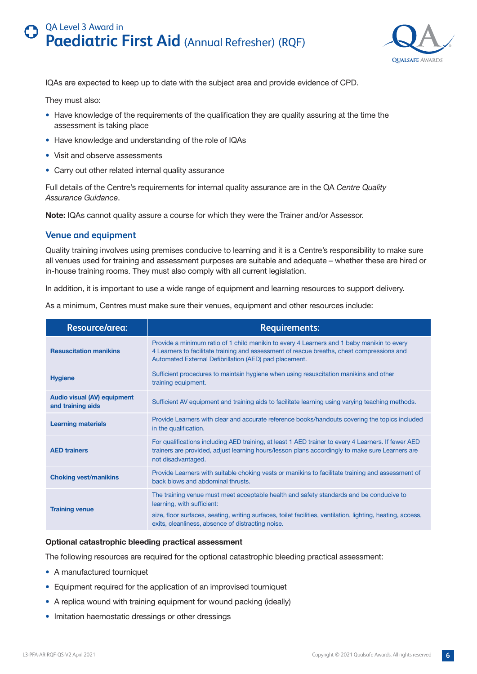

<span id="page-5-0"></span>IQAs are expected to keep up to date with the subject area and provide evidence of CPD.

They must also:

- Have knowledge of the requirements of the qualification they are quality assuring at the time the assessment is taking place
- Have knowledge and understanding of the role of IQAs
- Visit and observe assessments
- Carry out other related internal quality assurance

Full details of the Centre's requirements for internal quality assurance are in the QA *Centre Quality Assurance Guidance*.

**Note:** IQAs cannot quality assure a course for which they were the Trainer and/or Assessor.

### **Venue and equipment**

Quality training involves using premises conducive to learning and it is a Centre's responsibility to make sure all venues used for training and assessment purposes are suitable and adequate – whether these are hired or in-house training rooms. They must also comply with all current legislation.

In addition, it is important to use a wide range of equipment and learning resources to support delivery.

As a minimum, Centres must make sure their venues, equipment and other resources include:

| <b>Resource/area:</b>                                   | <b>Requirements:</b>                                                                                                                                                                                                                                                                      |
|---------------------------------------------------------|-------------------------------------------------------------------------------------------------------------------------------------------------------------------------------------------------------------------------------------------------------------------------------------------|
| <b>Resuscitation manikins</b>                           | Provide a minimum ratio of 1 child manikin to every 4 Learners and 1 baby manikin to every<br>4 Learners to facilitate training and assessment of rescue breaths, chest compressions and<br>Automated External Defibrillation (AED) pad placement.                                        |
| <b>Hygiene</b>                                          | Sufficient procedures to maintain hygiene when using resuscitation manikins and other<br>training equipment.                                                                                                                                                                              |
| <b>Audio visual (AV) equipment</b><br>and training aids | Sufficient AV equipment and training aids to facilitate learning using varying teaching methods.                                                                                                                                                                                          |
| <b>Learning materials</b>                               | Provide Learners with clear and accurate reference books/handouts covering the topics included<br>in the qualification.                                                                                                                                                                   |
| <b>AED trainers</b>                                     | For qualifications including AED training, at least 1 AED trainer to every 4 Learners. If fewer AED<br>trainers are provided, adjust learning hours/lesson plans accordingly to make sure Learners are<br>not disadvantaged.                                                              |
| <b>Choking vest/manikins</b>                            | Provide Learners with suitable choking vests or manikins to facilitate training and assessment of<br>back blows and abdominal thrusts.                                                                                                                                                    |
| <b>Training venue</b>                                   | The training venue must meet acceptable health and safety standards and be conducive to<br>learning, with sufficient:<br>size, floor surfaces, seating, writing surfaces, toilet facilities, ventilation, lighting, heating, access,<br>exits, cleanliness, absence of distracting noise. |

### **Optional catastrophic bleeding practical assessment**

The following resources are required for the optional catastrophic bleeding practical assessment:

- A manufactured tourniquet
- Equipment required for the application of an improvised tourniquet
- A replica wound with training equipment for wound packing (ideally)
- Imitation haemostatic dressings or other dressings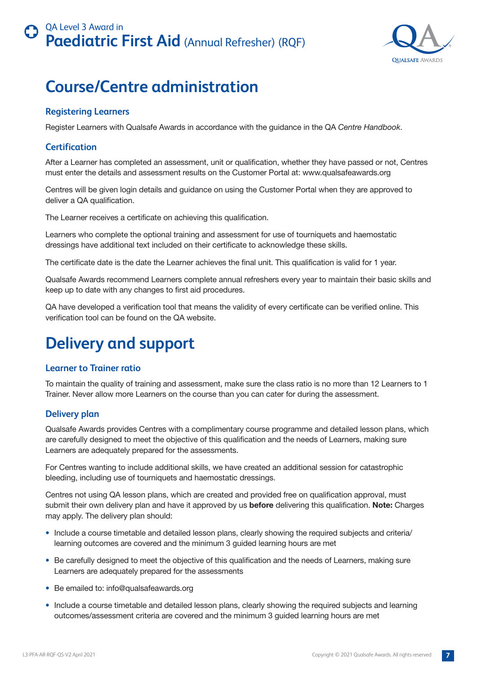

# <span id="page-6-0"></span>**Course/Centre administration**

### **Registering Learners**

Register Learners with Qualsafe Awards in accordance with the guidance in the QA *Centre Handbook*.

### **Certification**

After a Learner has completed an assessment, unit or qualification, whether they have passed or not, Centres must enter the details and assessment results on the Customer Portal at: www.qualsafeawards.org

Centres will be given login details and guidance on using the Customer Portal when they are approved to deliver a QA qualification.

The Learner receives a certificate on achieving this qualification.

Learners who complete the optional training and assessment for use of tourniquets and haemostatic dressings have additional text included on their certificate to acknowledge these skills.

The certificate date is the date the Learner achieves the final unit. This qualification is valid for 1 year.

Qualsafe Awards recommend Learners complete annual refreshers every year to maintain their basic skills and keep up to date with any changes to first aid procedures.

QA have developed a verification tool that means the validity of every certificate can be verified online. This verification tool can be found on the QA website.

# **Delivery and support**

### **Learner to Trainer ratio**

To maintain the quality of training and assessment, make sure the class ratio is no more than 12 Learners to 1 Trainer. Never allow more Learners on the course than you can cater for during the assessment.

### **Delivery plan**

Qualsafe Awards provides Centres with a complimentary course programme and detailed lesson plans, which are carefully designed to meet the objective of this qualification and the needs of Learners, making sure Learners are adequately prepared for the assessments.

For Centres wanting to include additional skills, we have created an additional session for catastrophic bleeding, including use of tourniquets and haemostatic dressings.

Centres not using QA lesson plans, which are created and provided free on qualification approval, must submit their own delivery plan and have it approved by us **before** delivering this qualification. **Note:** Charges may apply. The delivery plan should:

- Include a course timetable and detailed lesson plans, clearly showing the required subjects and criteria/ learning outcomes are covered and the minimum 3 guided learning hours are met
- Be carefully designed to meet the objective of this qualification and the needs of Learners, making sure Learners are adequately prepared for the assessments
- Be emailed to: info@qualsafeawards.org
- Include a course timetable and detailed lesson plans, clearly showing the required subjects and learning outcomes/assessment criteria are covered and the minimum 3 guided learning hours are met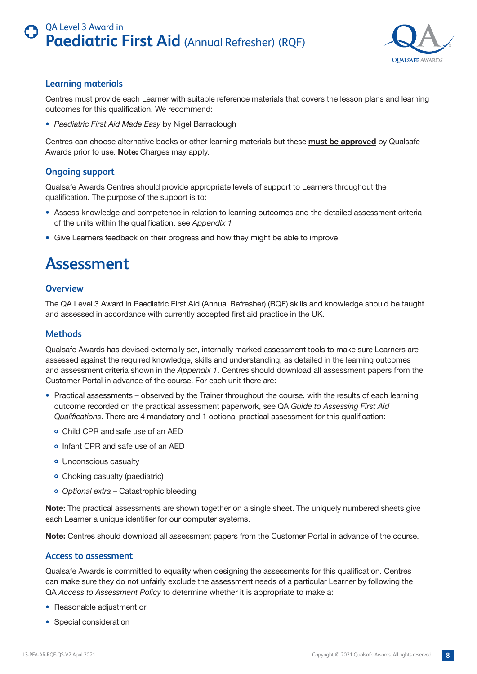

### <span id="page-7-0"></span>**Learning materials**

Centres must provide each Learner with suitable reference materials that covers the lesson plans and learning outcomes for this qualification. We recommend:

• *Paediatric First Aid Made Easy* by Nigel Barraclough

Centres can choose alternative books or other learning materials but these **must be approved** by Qualsafe Awards prior to use. **Note:** Charges may apply.

### **Ongoing support**

Qualsafe Awards Centres should provide appropriate levels of support to Learners throughout the qualification. The purpose of the support is to:

- Assess knowledge and competence in relation to learning outcomes and the detailed assessment criteria of the units within the qualification, see *Appendix 1*
- Give Learners feedback on their progress and how they might be able to improve

# **Assessment**

### **Overview**

The QA Level 3 Award in Paediatric First Aid (Annual Refresher) (RQF) skills and knowledge should be taught and assessed in accordance with currently accepted first aid practice in the UK.

### **Methods**

Qualsafe Awards has devised externally set, internally marked assessment tools to make sure Learners are assessed against the required knowledge, skills and understanding, as detailed in the learning outcomes and assessment criteria shown in the *Appendix 1*. Centres should download all assessment papers from the Customer Portal in advance of the course. For each unit there are:

- Practical assessments observed by the Trainer throughout the course, with the results of each learning outcome recorded on the practical assessment paperwork, see QA *Guide to Assessing First Aid Qualifications*. There are 4 mandatory and 1 optional practical assessment for this qualification:
	- Child CPR and safe use of an AED
	- Infant CPR and safe use of an AED
	- Unconscious casualty
	- Choking casualty (paediatric)
	- *Optional extra* Catastrophic bleeding

**Note:** The practical assessments are shown together on a single sheet. The uniquely numbered sheets give each Learner a unique identifier for our computer systems.

**Note:** Centres should download all assessment papers from the Customer Portal in advance of the course.

### **Access to assessment**

Qualsafe Awards is committed to equality when designing the assessments for this qualification. Centres can make sure they do not unfairly exclude the assessment needs of a particular Learner by following the QA *Access to Assessment Policy* to determine whether it is appropriate to make a:

- Reasonable adjustment or
- Special consideration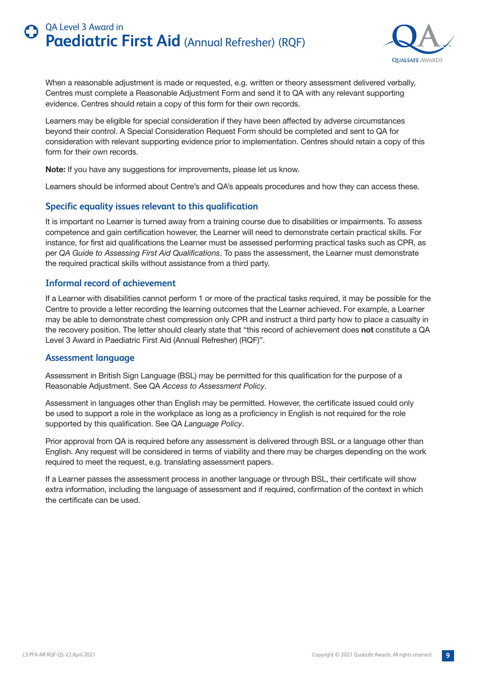

<span id="page-8-0"></span>When a reasonable adjustment is made or requested, e.g. written or theory assessment delivered verbally, Centres must complete a Reasonable Adjustment Form and send it to QA with any relevant supporting evidence. Centres should retain a copy of this form for their own records.

Learners may be eligible for special consideration if they have been affected by adverse circumstances beyond their control. A Special Consideration Request Form should be completed and sent to QA for consideration with relevant supporting evidence prior to implementation. Centres should retain a copy of this form for their own records.

**Note:** If you have any suggestions for improvements, please let us know.

Learners should be informed about Centre's and QA's appeals procedures and how they can access these.

### **Specific equality issues relevant to this qualification**

It is important no Learner is turned away from a training course due to disabilities or impairments. To assess competence and gain certification however, the Learner will need to demonstrate certain practical skills. For instance, for first aid qualifications the Learner must be assessed performing practical tasks such as CPR, as per *QA Guide to Assessing First Aid Qualifications*. To pass the assessment, the Learner must demonstrate the required practical skills without assistance from a third party.

### **Informal record of achievement**

If a Learner with disabilities cannot perform 1 or more of the practical tasks required, it may be possible for the Centre to provide a letter recording the learning outcomes that the Learner achieved. For example, a Learner may be able to demonstrate chest compression only CPR and instruct a third party how to place a casualty in the recovery position. The letter should clearly state that "this record of achievement does **not** constitute a QA Level 3 Award in Paediatric First Aid (Annual Refresher) (RQF)".

### **Assessment language**

Assessment in British Sign Language (BSL) may be permitted for this qualification for the purpose of a Reasonable Adjustment. See QA *Access to Assessment Policy*.

Assessment in languages other than English may be permitted. However, the certificate issued could only be used to support a role in the workplace as long as a proficiency in English is not required for the role supported by this qualification. See QA *Language Policy*.

Prior approval from QA is required before any assessment is delivered through BSL or a language other than English. Any request will be considered in terms of viability and there may be charges depending on the work required to meet the request, e.g. translating assessment papers.

If a Learner passes the assessment process in another language or through BSL, their certificate will show extra information, including the language of assessment and if required, confirmation of the context in which the certificate can be used.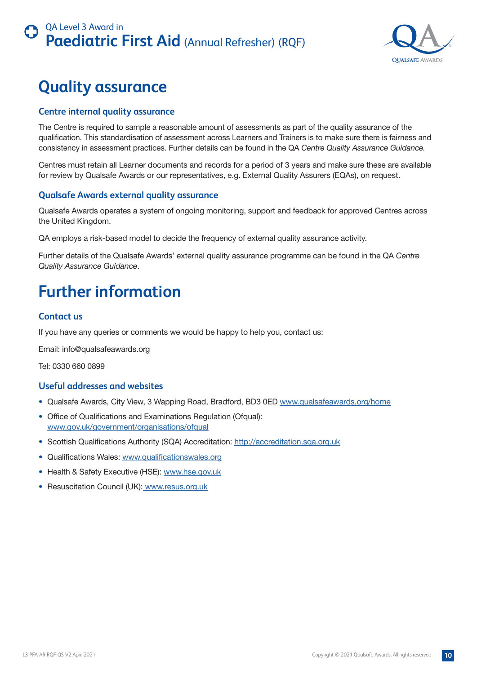

# <span id="page-9-0"></span>**Quality assurance**

### **Centre internal quality assurance**

The Centre is required to sample a reasonable amount of assessments as part of the quality assurance of the qualification. This standardisation of assessment across Learners and Trainers is to make sure there is fairness and consistency in assessment practices. Further details can be found in the QA *Centre Quality Assurance Guidance.* 

Centres must retain all Learner documents and records for a period of 3 years and make sure these are available for review by Qualsafe Awards or our representatives, e.g. External Quality Assurers (EQAs), on request.

### **Qualsafe Awards external quality assurance**

Qualsafe Awards operates a system of ongoing monitoring, support and feedback for approved Centres across the United Kingdom.

QA employs a risk-based model to decide the frequency of external quality assurance activity.

Further details of the Qualsafe Awards' external quality assurance programme can be found in the QA *Centre Quality Assurance Guidance*.

# **Further information**

### **Contact us**

If you have any queries or comments we would be happy to help you, contact us:

Email: info@qualsafeawards.org

Tel: 0330 660 0899

### **Useful addresses and websites**

- Qualsafe Awards, City View, 3 Wapping Road, Bradford, BD3 0ED www.qualsafeawards.org/home
- Office of Qualifications and Examinations Regulation (Ofqual): www.gov.uk/government/organisations/ofqual
- Scottish Qualifications Authority (SQA) Accreditation: http://accreditation.sqa.org.uk
- Qualifications Wales: www.qualificationswales.org
- Health & Safety Executive (HSE): www.hse.gov.uk
- Resuscitation Council (UK): www.resus.org.uk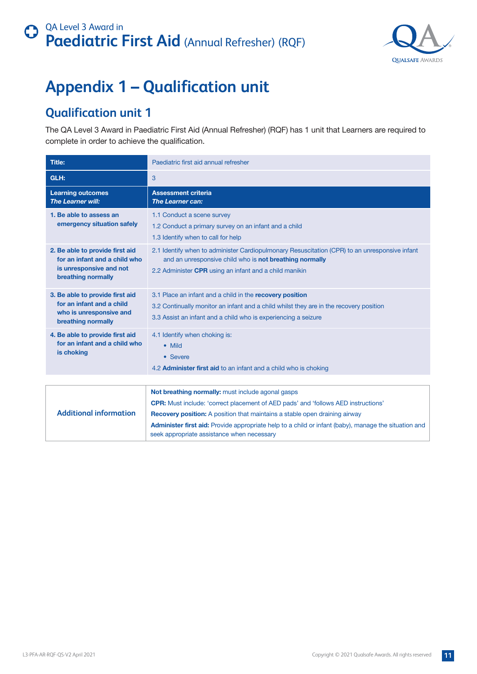

# <span id="page-10-0"></span>**Appendix 1 – Qualification unit**

## **Qualification unit 1**

The QA Level 3 Award in Paediatric First Aid (Annual Refresher) (RQF) has 1 unit that Learners are required to complete in order to achieve the qualification.

| <b>Title:</b>                                                                                                     | Paediatric first aid annual refresher                                                                                                                                                                                                                                                                                                                                                           |
|-------------------------------------------------------------------------------------------------------------------|-------------------------------------------------------------------------------------------------------------------------------------------------------------------------------------------------------------------------------------------------------------------------------------------------------------------------------------------------------------------------------------------------|
| GLH:                                                                                                              | 3                                                                                                                                                                                                                                                                                                                                                                                               |
| <b>Learning outcomes</b><br><b>The Learner will:</b>                                                              | <b>Assessment criteria</b><br><b>The Learner can:</b>                                                                                                                                                                                                                                                                                                                                           |
| 1. Be able to assess an<br>emergency situation safely                                                             | 1.1 Conduct a scene survey<br>1.2 Conduct a primary survey on an infant and a child<br>1.3 Identify when to call for help                                                                                                                                                                                                                                                                       |
| 2. Be able to provide first aid<br>for an infant and a child who<br>is unresponsive and not<br>breathing normally | 2.1 Identify when to administer Cardiopulmonary Resuscitation (CPR) to an unresponsive infant<br>and an unresponsive child who is not breathing normally<br>2.2 Administer CPR using an infant and a child manikin                                                                                                                                                                              |
| 3. Be able to provide first aid<br>for an infant and a child<br>who is unresponsive and<br>breathing normally     | 3.1 Place an infant and a child in the recovery position<br>3.2 Continually monitor an infant and a child whilst they are in the recovery position<br>3.3 Assist an infant and a child who is experiencing a seizure                                                                                                                                                                            |
| 4. Be able to provide first aid<br>for an infant and a child who<br>is choking                                    | 4.1 Identify when choking is:<br>• Mild<br>• Severe<br>4.2 <b>Administer first aid</b> to an infant and a child who is choking                                                                                                                                                                                                                                                                  |
|                                                                                                                   |                                                                                                                                                                                                                                                                                                                                                                                                 |
| <b>Additional information</b>                                                                                     | Not breathing normally: must include agonal gasps<br><b>CPR:</b> Must include: 'correct placement of AED pads' and 'follows AED instructions'<br><b>Recovery position:</b> A position that maintains a stable open draining airway<br><b>Administer first aid:</b> Provide appropriate help to a child or infant (baby), manage the situation and<br>seek appropriate assistance when necessary |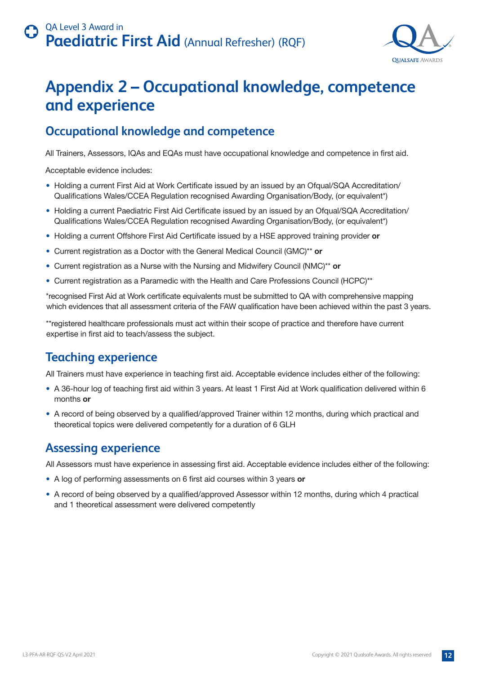

# <span id="page-11-0"></span>**Appendix 2 – Occupational knowledge, competence and experience**

## **Occupational knowledge and competence**

All Trainers, Assessors, IQAs and EQAs must have occupational knowledge and competence in first aid.

Acceptable evidence includes:

- Holding a current First Aid at Work Certificate issued by an issued by an Ofqual/SQA Accreditation/ Qualifications Wales/CCEA Regulation recognised Awarding Organisation/Body, (or equivalent\*)
- Holding a current Paediatric First Aid Certificate issued by an issued by an Ofqual/SQA Accreditation/ Qualifications Wales/CCEA Regulation recognised Awarding Organisation/Body, (or equivalent\*)
- Holding a current Offshore First Aid Certificate issued by a HSE approved training provider **or**
- Current registration as a Doctor with the General Medical Council (GMC)\*\* **or**
- Current registration as a Nurse with the Nursing and Midwifery Council (NMC)\*\* **or**
- Current registration as a Paramedic with the Health and Care Professions Council (HCPC)\*\*

\*recognised First Aid at Work certificate equivalents must be submitted to QA with comprehensive mapping which evidences that all assessment criteria of the FAW qualification have been achieved within the past 3 years.

\*\*registered healthcare professionals must act within their scope of practice and therefore have current expertise in first aid to teach/assess the subject.

## **Teaching experience**

All Trainers must have experience in teaching first aid. Acceptable evidence includes either of the following:

- A 36-hour log of teaching first aid within 3 years. At least 1 First Aid at Work qualification delivered within 6 months **or**
- A record of being observed by a qualified/approved Trainer within 12 months, during which practical and theoretical topics were delivered competently for a duration of 6 GLH

### **Assessing experience**

All Assessors must have experience in assessing first aid. Acceptable evidence includes either of the following:

- A log of performing assessments on 6 first aid courses within 3 years **or**
- A record of being observed by a qualified/approved Assessor within 12 months, during which 4 practical and 1 theoretical assessment were delivered competently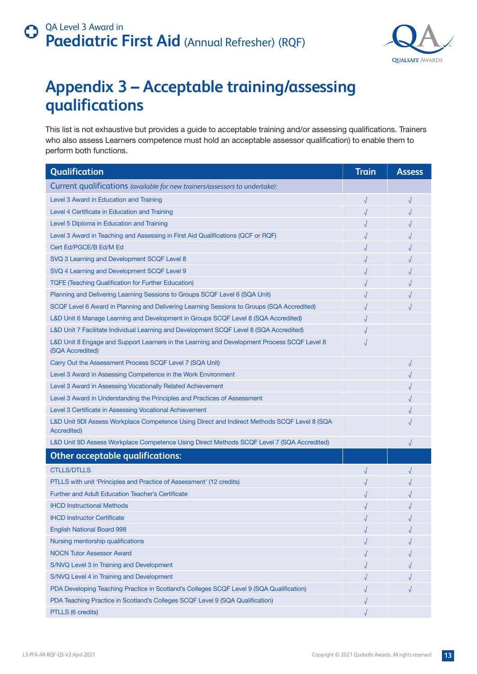

# <span id="page-12-0"></span>**Appendix 3 – Acceptable training/assessing qualifications**

This list is not exhaustive but provides a guide to acceptable training and/or assessing qualifications. Trainers who also assess Learners competence must hold an acceptable assessor qualification) to enable them to perform both functions.

| Qualification                                                                                                      | <b>Train</b> | <b>Assess</b> |
|--------------------------------------------------------------------------------------------------------------------|--------------|---------------|
| Current qualifications (available for new trainers/assessors to undertake):                                        |              |               |
| Level 3 Award in Education and Training                                                                            | $\sqrt{}$    |               |
| Level 4 Certificate in Education and Training                                                                      |              |               |
| Level 5 Diploma in Education and Training                                                                          |              |               |
| Level 3 Award in Teaching and Assessing in First Aid Qualifications (QCF or RQF)                                   |              |               |
| Cert Ed/PGCE/B Ed/M Ed                                                                                             |              |               |
| SVQ 3 Learning and Development SCQF Level 8                                                                        |              |               |
| SVQ 4 Learning and Development SCQF Level 9                                                                        |              |               |
| <b>TQFE (Teaching Qualification for Further Education)</b>                                                         |              |               |
| Planning and Delivering Learning Sessions to Groups SCQF Level 6 (SQA Unit)                                        |              |               |
| SCQF Level 6 Award in Planning and Delivering Learning Sessions to Groups (SQA Accredited)                         |              |               |
| L&D Unit 6 Manage Learning and Development in Groups SCQF Level 8 (SQA Accredited)                                 |              |               |
| L&D Unit 7 Facilitate Individual Learning and Development SCQF Level 8 (SQA Accredited)                            |              |               |
| L&D Unit 8 Engage and Support Learners in the Learning and Development Process SCQF Level 8<br>(SQA Accredited)    |              |               |
| Carry Out the Assessment Process SCQF Level 7 (SQA Unit)                                                           |              |               |
| Level 3 Award in Assessing Competence in the Work Environment                                                      |              |               |
| Level 3 Award in Assessing Vocationally Related Achievement                                                        |              |               |
| Level 3 Award in Understanding the Principles and Practices of Assessment                                          |              |               |
| Level 3 Certificate in Assessing Vocational Achievement                                                            |              |               |
| L&D Unit 9DI Assess Workplace Competence Using Direct and Indirect Methods SCQF Level 8 (SQA<br><b>Accredited)</b> |              |               |
| L&D Unit 9D Assess Workplace Competence Using Direct Methods SCQF Level 7 (SQA Accredited)                         |              |               |
| <b>Other acceptable qualifications:</b>                                                                            |              |               |
| <b>CTLLS/DTLLS</b>                                                                                                 |              |               |
| PTLLS with unit 'Principles and Practice of Assessment' (12 credits)                                               |              |               |
| <b>Further and Adult Education Teacher's Certificate</b>                                                           |              |               |
| <b>IHCD Instructional Methods</b>                                                                                  |              |               |
| <b>IHCD Instructor Certificate</b>                                                                                 |              |               |
| <b>English National Board 998</b>                                                                                  |              |               |
| Nursing mentorship qualifications                                                                                  |              |               |
| <b>NOCN Tutor Assessor Award</b>                                                                                   |              |               |
| S/NVQ Level 3 in Training and Development                                                                          |              |               |
| S/NVQ Level 4 in Training and Development                                                                          |              |               |
| PDA Developing Teaching Practice in Scotland's Colleges SCQF Level 9 (SQA Qualification)                           |              |               |
| PDA Teaching Practice in Scotland's Colleges SCQF Level 9 (SQA Qualification)                                      |              |               |
| PTLLS (6 credits)                                                                                                  |              |               |